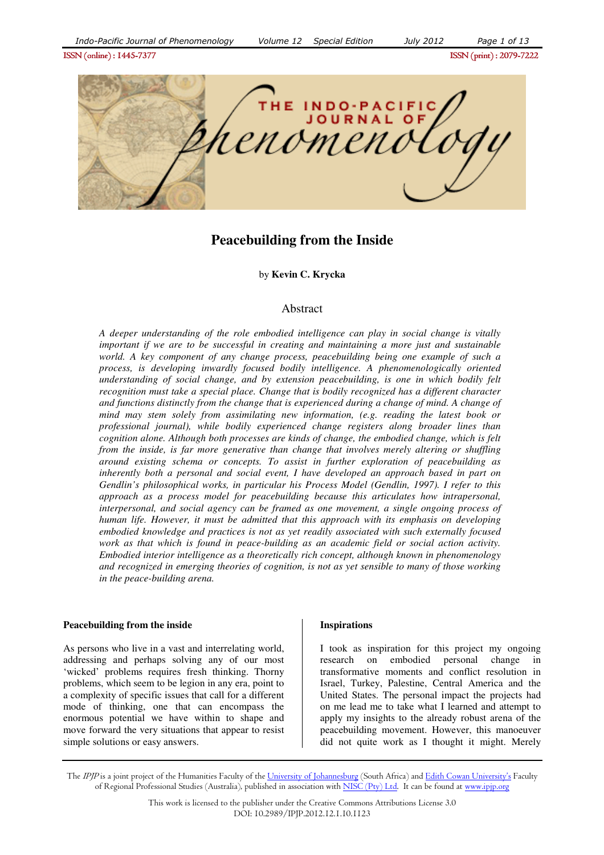

# **Peacebuilding from the Inside**

by **Kevin C. Krycka** 

## Abstract

*A deeper understanding of the role embodied intelligence can play in social change is vitally important if we are to be successful in creating and maintaining a more just and sustainable world. A key component of any change process, peacebuilding being one example of such a process, is developing inwardly focused bodily intelligence. A phenomenologically oriented understanding of social change, and by extension peacebuilding, is one in which bodily felt recognition must take a special place. Change that is bodily recognized has a different character and functions distinctly from the change that is experienced during a change of mind. A change of mind may stem solely from assimilating new information, (e.g. reading the latest book or professional journal), while bodily experienced change registers along broader lines than cognition alone. Although both processes are kinds of change, the embodied change, which is felt from the inside, is far more generative than change that involves merely altering or shuffling around existing schema or concepts. To assist in further exploration of peacebuilding as inherently both a personal and social event, I have developed an approach based in part on Gendlin's philosophical works, in particular his Process Model (Gendlin, 1997). I refer to this approach as a process model for peacebuilding because this articulates how intrapersonal, interpersonal, and social agency can be framed as one movement, a single ongoing process of human life. However, it must be admitted that this approach with its emphasis on developing embodied knowledge and practices is not as yet readily associated with such externally focused work as that which is found in peace-building as an academic field or social action activity. Embodied interior intelligence as a theoretically rich concept, although known in phenomenology and recognized in emerging theories of cognition, is not as yet sensible to many of those working in the peace-building arena.* 

### **Peacebuilding from the inside**

As persons who live in a vast and interrelating world, addressing and perhaps solving any of our most 'wicked' problems requires fresh thinking. Thorny problems, which seem to be legion in any era, point to a complexity of specific issues that call for a different mode of thinking, one that can encompass the enormous potential we have within to shape and move forward the very situations that appear to resist simple solutions or easy answers.

### **Inspirations**

I took as inspiration for this project my ongoing research on embodied personal change in transformative moments and conflict resolution in Israel, Turkey, Palestine, Central America and the United States. The personal impact the projects had on me lead me to take what I learned and attempt to apply my insights to the already robust arena of the peacebuilding movement. However, this manoeuver did not quite work as I thought it might. Merely

The IPJP is a joint project of the Humanities Faculty of the University of Johannesburg (South Africa) and Edith Cowan University's Faculty of Regional Professional Studies (Australia), published in association with NISC (Pty) Ltd. It can be found at www.ipip.org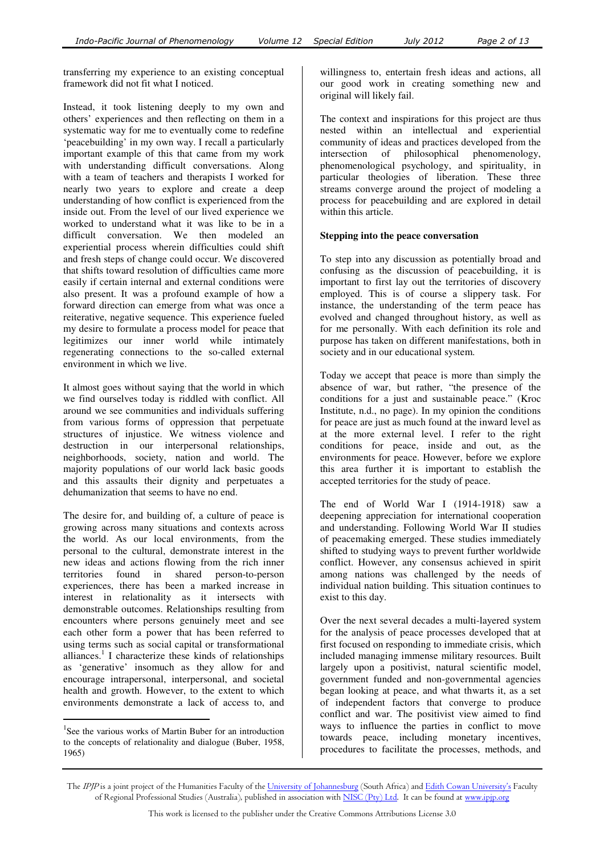transferring my experience to an existing conceptual framework did not fit what I noticed.

Instead, it took listening deeply to my own and others' experiences and then reflecting on them in a systematic way for me to eventually come to redefine 'peacebuilding' in my own way. I recall a particularly important example of this that came from my work with understanding difficult conversations. Along with a team of teachers and therapists I worked for nearly two years to explore and create a deep understanding of how conflict is experienced from the inside out. From the level of our lived experience we worked to understand what it was like to be in a difficult conversation. We then modeled an experiential process wherein difficulties could shift and fresh steps of change could occur. We discovered that shifts toward resolution of difficulties came more easily if certain internal and external conditions were also present. It was a profound example of how a forward direction can emerge from what was once a reiterative, negative sequence. This experience fueled my desire to formulate a process model for peace that legitimizes our inner world while intimately regenerating connections to the so-called external environment in which we live.

It almost goes without saying that the world in which we find ourselves today is riddled with conflict. All around we see communities and individuals suffering from various forms of oppression that perpetuate structures of injustice. We witness violence and destruction in our interpersonal relationships, neighborhoods, society, nation and world. The majority populations of our world lack basic goods and this assaults their dignity and perpetuates a dehumanization that seems to have no end.

The desire for, and building of, a culture of peace is growing across many situations and contexts across the world. As our local environments, from the personal to the cultural, demonstrate interest in the new ideas and actions flowing from the rich inner territories found in shared person-to-person experiences, there has been a marked increase in interest in relationality as it intersects with demonstrable outcomes. Relationships resulting from encounters where persons genuinely meet and see each other form a power that has been referred to using terms such as social capital or transformational alliances.<sup>1</sup> I characterize these kinds of relationships as 'generative' insomuch as they allow for and encourage intrapersonal, interpersonal, and societal health and growth. However, to the extent to which environments demonstrate a lack of access to, and

 $\overline{a}$ 

willingness to, entertain fresh ideas and actions, all our good work in creating something new and original will likely fail.

The context and inspirations for this project are thus nested within an intellectual and experiential community of ideas and practices developed from the intersection of philosophical phenomenology, phenomenological psychology, and spirituality, in particular theologies of liberation. These three streams converge around the project of modeling a process for peacebuilding and are explored in detail within this article.

## **Stepping into the peace conversation**

To step into any discussion as potentially broad and confusing as the discussion of peacebuilding, it is important to first lay out the territories of discovery employed. This is of course a slippery task. For instance, the understanding of the term peace has evolved and changed throughout history, as well as for me personally. With each definition its role and purpose has taken on different manifestations, both in society and in our educational system.

Today we accept that peace is more than simply the absence of war, but rather, "the presence of the conditions for a just and sustainable peace." (Kroc Institute, n.d., no page). In my opinion the conditions for peace are just as much found at the inward level as at the more external level. I refer to the right conditions for peace, inside and out, as the environments for peace. However, before we explore this area further it is important to establish the accepted territories for the study of peace.

The end of World War I (1914-1918) saw a deepening appreciation for international cooperation and understanding. Following World War II studies of peacemaking emerged. These studies immediately shifted to studying ways to prevent further worldwide conflict. However, any consensus achieved in spirit among nations was challenged by the needs of individual nation building. This situation continues to exist to this day.

Over the next several decades a multi-layered system for the analysis of peace processes developed that at first focused on responding to immediate crisis, which included managing immense military resources. Built largely upon a positivist, natural scientific model, government funded and non-governmental agencies began looking at peace, and what thwarts it, as a set of independent factors that converge to produce conflict and war. The positivist view aimed to find ways to influence the parties in conflict to move towards peace, including monetary incentives, procedures to facilitate the processes, methods, and

<sup>&</sup>lt;sup>1</sup>See the various works of Martin Buber for an introduction to the concepts of relationality and dialogue (Buber, 1958, 1965)

The IPJP is a joint project of the Humanities Faculty of the University of Johannesburg (South Africa) and Edith Cowan University's Faculty of Regional Professional Studies (Australia), published in association with NISC (Pty) Ltd. It can be found at www.ipjp.org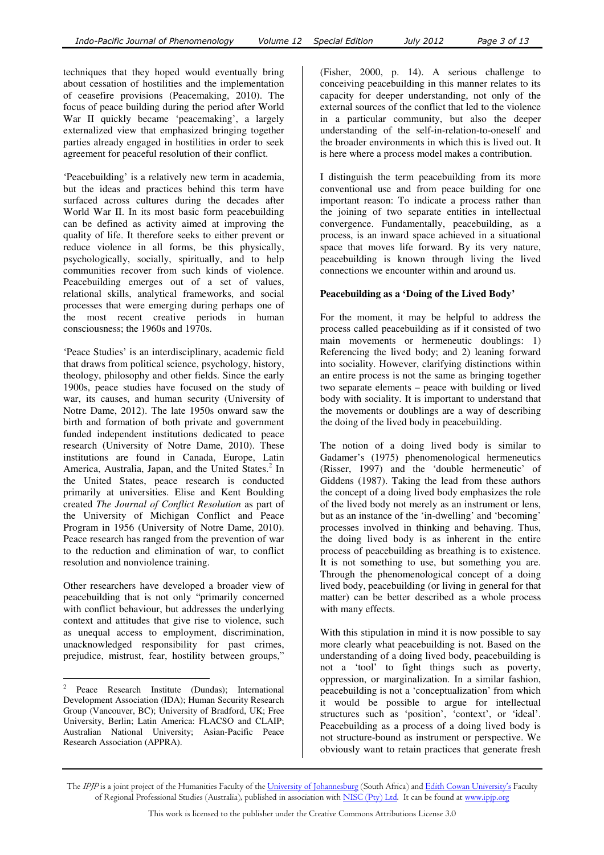techniques that they hoped would eventually bring about cessation of hostilities and the implementation of ceasefire provisions (Peacemaking, 2010). The focus of peace building during the period after World War II quickly became 'peacemaking', a largely externalized view that emphasized bringing together parties already engaged in hostilities in order to seek agreement for peaceful resolution of their conflict.

'Peacebuilding' is a relatively new term in academia, but the ideas and practices behind this term have surfaced across cultures during the decades after World War II. In its most basic form peacebuilding can be defined as activity aimed at improving the quality of life. It therefore seeks to either prevent or reduce violence in all forms, be this physically, psychologically, socially, spiritually, and to help communities recover from such kinds of violence. Peacebuilding emerges out of a set of values, relational skills, analytical frameworks, and social processes that were emerging during perhaps one of the most recent creative periods in human consciousness; the 1960s and 1970s.

'Peace Studies' is an interdisciplinary, academic field that draws from political science, psychology, history, theology, philosophy and other fields. Since the early 1900s, peace studies have focused on the study of war, its causes, and human security (University of Notre Dame, 2012). The late 1950s onward saw the birth and formation of both private and government funded independent institutions dedicated to peace research (University of Notre Dame, 2010). These institutions are found in Canada, Europe, Latin America, Australia, Japan, and the United States.<sup>2</sup> In the United States, peace research is conducted primarily at universities. Elise and Kent Boulding created *The Journal of Conflict Resolution* as part of the University of Michigan Conflict and Peace Program in 1956 (University of Notre Dame, 2010). Peace research has ranged from the prevention of war to the reduction and elimination of war, to conflict resolution and nonviolence training.

Other researchers have developed a broader view of peacebuilding that is not only "primarily concerned with conflict behaviour, but addresses the underlying context and attitudes that give rise to violence, such as unequal access to employment, discrimination, unacknowledged responsibility for past crimes, prejudice, mistrust, fear, hostility between groups,"

(Fisher, 2000, p. 14). A serious challenge to conceiving peacebuilding in this manner relates to its capacity for deeper understanding, not only of the external sources of the conflict that led to the violence in a particular community, but also the deeper understanding of the self-in-relation-to-oneself and the broader environments in which this is lived out. It is here where a process model makes a contribution.

I distinguish the term peacebuilding from its more conventional use and from peace building for one important reason: To indicate a process rather than the joining of two separate entities in intellectual convergence. Fundamentally, peacebuilding, as a process, is an inward space achieved in a situational space that moves life forward. By its very nature, peacebuilding is known through living the lived connections we encounter within and around us.

## **Peacebuilding as a 'Doing of the Lived Body'**

For the moment, it may be helpful to address the process called peacebuilding as if it consisted of two main movements or hermeneutic doublings: 1) Referencing the lived body; and 2) leaning forward into sociality. However, clarifying distinctions within an entire process is not the same as bringing together two separate elements – peace with building or lived body with sociality. It is important to understand that the movements or doublings are a way of describing the doing of the lived body in peacebuilding.

The notion of a doing lived body is similar to Gadamer's (1975) phenomenological hermeneutics (Risser, 1997) and the 'double hermeneutic' of Giddens (1987). Taking the lead from these authors the concept of a doing lived body emphasizes the role of the lived body not merely as an instrument or lens, but as an instance of the 'in-dwelling' and 'becoming' processes involved in thinking and behaving. Thus, the doing lived body is as inherent in the entire process of peacebuilding as breathing is to existence. It is not something to use, but something you are. Through the phenomenological concept of a doing lived body, peacebuilding (or living in general for that matter) can be better described as a whole process with many effects.

With this stipulation in mind it is now possible to say more clearly what peacebuilding is not. Based on the understanding of a doing lived body, peacebuilding is not a 'tool' to fight things such as poverty, oppression, or marginalization. In a similar fashion, peacebuilding is not a 'conceptualization' from which it would be possible to argue for intellectual structures such as 'position', 'context', or 'ideal'. Peacebuilding as a process of a doing lived body is not structure-bound as instrument or perspective. We obviously want to retain practices that generate fresh

 $\frac{1}{2}$  Peace Research Institute (Dundas); International Development Association (IDA); Human Security Research Group (Vancouver, BC); University of Bradford, UK; Free University, Berlin; Latin America: FLACSO and CLAIP; Australian National University; Asian-Pacific Peace Research Association (APPRA).

The IPJP is a joint project of the Humanities Faculty of the University of Johannesburg (South Africa) and Edith Cowan University's Faculty of Regional Professional Studies (Australia), published in association with NISC (Pty) Ltd. It can be found at www.ipjp.org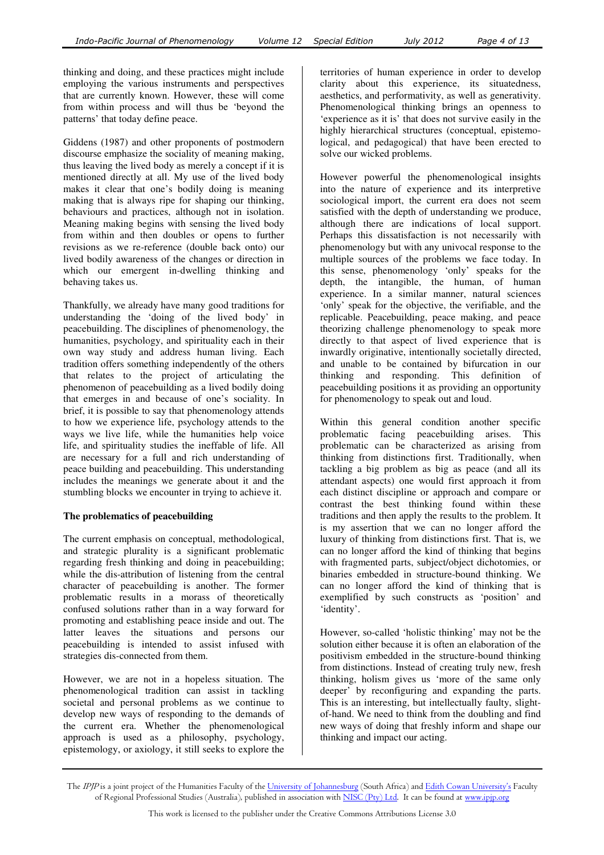thinking and doing, and these practices might include employing the various instruments and perspectives that are currently known. However, these will come from within process and will thus be 'beyond the patterns' that today define peace.

Giddens (1987) and other proponents of postmodern discourse emphasize the sociality of meaning making, thus leaving the lived body as merely a concept if it is mentioned directly at all. My use of the lived body makes it clear that one's bodily doing is meaning making that is always ripe for shaping our thinking, behaviours and practices, although not in isolation. Meaning making begins with sensing the lived body from within and then doubles or opens to further revisions as we re-reference (double back onto) our lived bodily awareness of the changes or direction in which our emergent in-dwelling thinking and behaving takes us.

Thankfully, we already have many good traditions for understanding the 'doing of the lived body' in peacebuilding. The disciplines of phenomenology, the humanities, psychology, and spirituality each in their own way study and address human living. Each tradition offers something independently of the others that relates to the project of articulating the phenomenon of peacebuilding as a lived bodily doing that emerges in and because of one's sociality. In brief, it is possible to say that phenomenology attends to how we experience life, psychology attends to the ways we live life, while the humanities help voice life, and spirituality studies the ineffable of life. All are necessary for a full and rich understanding of peace building and peacebuilding. This understanding includes the meanings we generate about it and the stumbling blocks we encounter in trying to achieve it.

## **The problematics of peacebuilding**

The current emphasis on conceptual, methodological, and strategic plurality is a significant problematic regarding fresh thinking and doing in peacebuilding; while the dis-attribution of listening from the central character of peacebuilding is another. The former problematic results in a morass of theoretically confused solutions rather than in a way forward for promoting and establishing peace inside and out. The latter leaves the situations and persons our peacebuilding is intended to assist infused with strategies dis-connected from them.

However, we are not in a hopeless situation. The phenomenological tradition can assist in tackling societal and personal problems as we continue to develop new ways of responding to the demands of the current era. Whether the phenomenological approach is used as a philosophy, psychology, epistemology, or axiology, it still seeks to explore the

territories of human experience in order to develop clarity about this experience, its situatedness, aesthetics, and performativity, as well as generativity. Phenomenological thinking brings an openness to 'experience as it is' that does not survive easily in the highly hierarchical structures (conceptual, epistemological, and pedagogical) that have been erected to solve our wicked problems.

However powerful the phenomenological insights into the nature of experience and its interpretive sociological import, the current era does not seem satisfied with the depth of understanding we produce, although there are indications of local support. Perhaps this dissatisfaction is not necessarily with phenomenology but with any univocal response to the multiple sources of the problems we face today. In this sense, phenomenology 'only' speaks for the depth, the intangible, the human, of human experience. In a similar manner, natural sciences 'only' speak for the objective, the verifiable, and the replicable. Peacebuilding, peace making, and peace theorizing challenge phenomenology to speak more directly to that aspect of lived experience that is inwardly originative, intentionally societally directed, and unable to be contained by bifurcation in our thinking and responding. This definition of peacebuilding positions it as providing an opportunity for phenomenology to speak out and loud.

Within this general condition another specific problematic facing peacebuilding arises. This problematic can be characterized as arising from thinking from distinctions first. Traditionally, when tackling a big problem as big as peace (and all its attendant aspects) one would first approach it from each distinct discipline or approach and compare or contrast the best thinking found within these traditions and then apply the results to the problem. It is my assertion that we can no longer afford the luxury of thinking from distinctions first. That is, we can no longer afford the kind of thinking that begins with fragmented parts, subject/object dichotomies, or binaries embedded in structure-bound thinking. We can no longer afford the kind of thinking that is exemplified by such constructs as 'position' and 'identity'.

However, so-called 'holistic thinking' may not be the solution either because it is often an elaboration of the positivism embedded in the structure-bound thinking from distinctions. Instead of creating truly new, fresh thinking, holism gives us 'more of the same only deeper' by reconfiguring and expanding the parts. This is an interesting, but intellectually faulty, slightof-hand. We need to think from the doubling and find new ways of doing that freshly inform and shape our thinking and impact our acting.

The *IPJP* is a joint project of the Humanities Faculty of the <u>University of Johannesburg</u> (South Africa) and <u>Edith Cowan University's</u> Faculty of Regional Professional Studies (Australia), published in association with <u>NISC (Pty) Ltd</u>. It can be found at <u>www.ipjp.org</u>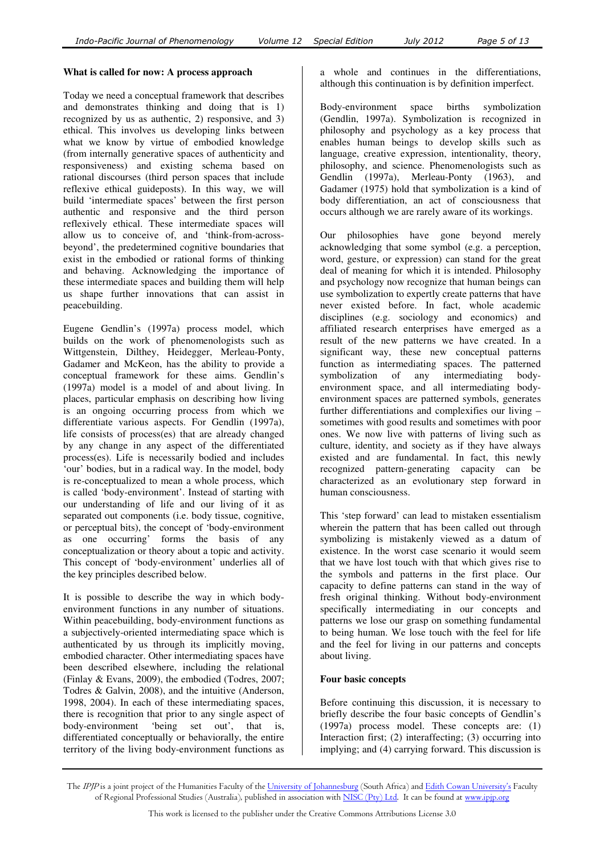## **What is called for now: A process approach**

Today we need a conceptual framework that describes and demonstrates thinking and doing that is 1) recognized by us as authentic, 2) responsive, and 3) ethical. This involves us developing links between what we know by virtue of embodied knowledge (from internally generative spaces of authenticity and responsiveness) and existing schema based on rational discourses (third person spaces that include reflexive ethical guideposts). In this way, we will build 'intermediate spaces' between the first person authentic and responsive and the third person reflexively ethical. These intermediate spaces will allow us to conceive of, and 'think-from-acrossbeyond', the predetermined cognitive boundaries that exist in the embodied or rational forms of thinking and behaving. Acknowledging the importance of these intermediate spaces and building them will help us shape further innovations that can assist in peacebuilding.

Eugene Gendlin's (1997a) process model, which builds on the work of phenomenologists such as Wittgenstein, Dilthey, Heidegger, Merleau-Ponty, Gadamer and McKeon, has the ability to provide a conceptual framework for these aims. Gendlin's (1997a) model is a model of and about living. In places, particular emphasis on describing how living is an ongoing occurring process from which we differentiate various aspects. For Gendlin (1997a), life consists of process(es) that are already changed by any change in any aspect of the differentiated process(es). Life is necessarily bodied and includes 'our' bodies, but in a radical way. In the model, body is re-conceptualized to mean a whole process, which is called 'body-environment'. Instead of starting with our understanding of life and our living of it as separated out components (i.e. body tissue, cognitive, or perceptual bits), the concept of 'body-environment as one occurring' forms the basis of any conceptualization or theory about a topic and activity. This concept of 'body-environment' underlies all of the key principles described below.

It is possible to describe the way in which bodyenvironment functions in any number of situations. Within peacebuilding, body-environment functions as a subjectively-oriented intermediating space which is authenticated by us through its implicitly moving, embodied character. Other intermediating spaces have been described elsewhere, including the relational (Finlay & Evans, 2009), the embodied (Todres, 2007; Todres & Galvin, 2008), and the intuitive (Anderson, 1998, 2004). In each of these intermediating spaces, there is recognition that prior to any single aspect of body-environment 'being set out', that is, differentiated conceptually or behaviorally, the entire territory of the living body-environment functions as a whole and continues in the differentiations, although this continuation is by definition imperfect.

Body-environment space births symbolization (Gendlin, 1997a). Symbolization is recognized in philosophy and psychology as a key process that enables human beings to develop skills such as language, creative expression, intentionality, theory, philosophy, and science. Phenomenologists such as Gendlin (1997a), Merleau-Ponty (1963), and Gadamer (1975) hold that symbolization is a kind of body differentiation, an act of consciousness that occurs although we are rarely aware of its workings.

Our philosophies have gone beyond merely acknowledging that some symbol (e.g. a perception, word, gesture, or expression) can stand for the great deal of meaning for which it is intended. Philosophy and psychology now recognize that human beings can use symbolization to expertly create patterns that have never existed before. In fact, whole academic disciplines (e.g. sociology and economics) and affiliated research enterprises have emerged as a result of the new patterns we have created. In a significant way, these new conceptual patterns function as intermediating spaces. The patterned symbolization of any intermediating bodyenvironment space, and all intermediating bodyenvironment spaces are patterned symbols, generates further differentiations and complexifies our living – sometimes with good results and sometimes with poor ones. We now live with patterns of living such as culture, identity, and society as if they have always existed and are fundamental. In fact, this newly recognized pattern-generating capacity can be characterized as an evolutionary step forward in human consciousness.

This 'step forward' can lead to mistaken essentialism wherein the pattern that has been called out through symbolizing is mistakenly viewed as a datum of existence. In the worst case scenario it would seem that we have lost touch with that which gives rise to the symbols and patterns in the first place. Our capacity to define patterns can stand in the way of fresh original thinking. Without body-environment specifically intermediating in our concepts and patterns we lose our grasp on something fundamental to being human. We lose touch with the feel for life and the feel for living in our patterns and concepts about living.

### **Four basic concepts**

Before continuing this discussion, it is necessary to briefly describe the four basic concepts of Gendlin's (1997a) process model. These concepts are: (1) Interaction first; (2) interaffecting; (3) occurring into implying; and (4) carrying forward. This discussion is

The *IPJP* is a joint project of the Humanities Faculty of the <u>University of Johannesburg</u> (South Africa) and <u>Edith Cowan University's</u> Faculty of Regional Professional Studies (Australia), published in association with <u>NISC (Pty) Ltd</u>. It can be found at <u>www.ipjp.org</u>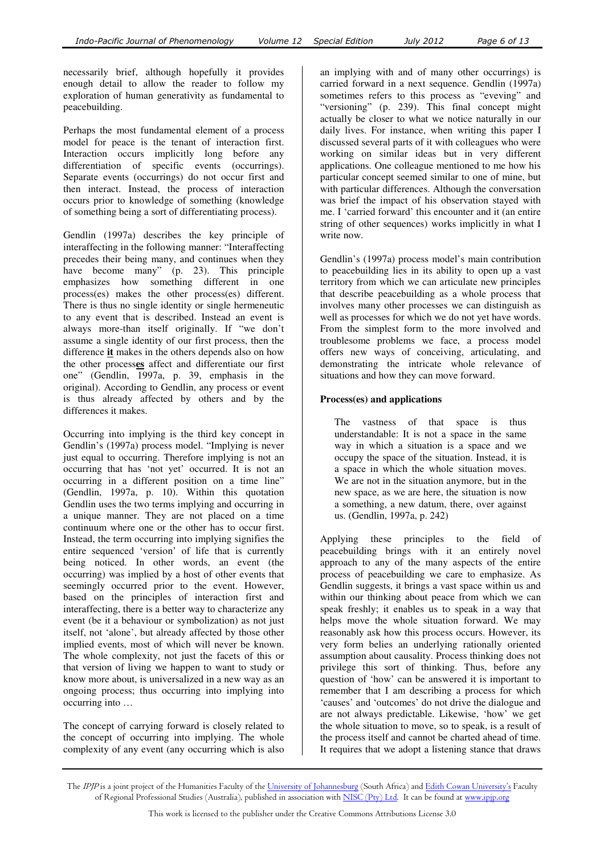necessarily brief, although hopefully it provides enough detail to allow the reader to follow my exploration of human generativity as fundamental to peacebuilding.

Perhaps the most fundamental element of a process model for peace is the tenant of interaction first. Interaction occurs implicitly long before any differentiation of specific events (occurrings). Separate events (occurrings) do not occur first and then interact. Instead, the process of interaction occurs prior to knowledge of something (knowledge of something being a sort of differentiating process).

Gendlin (1997a) describes the key principle of interaffecting in the following manner: "Interaffecting precedes their being many, and continues when they have become many" (p. 23). This principle emphasizes how something different in one process(es) makes the other process(es) different. There is thus no single identity or single hermeneutic to any event that is described. Instead an event is always more-than itself originally. If "we don't assume a single identity of our first process, then the difference **it** makes in the others depends also on how the other process**es** affect and differentiate our first one" (Gendlin, 1997a, p. 39, emphasis in the original). According to Gendlin, any process or event is thus already affected by others and by the differences it makes.

Occurring into implying is the third key concept in Gendlin's (1997a) process model. "Implying is never just equal to occurring. Therefore implying is not an occurring that has 'not yet' occurred. It is not an occurring in a different position on a time line" (Gendlin, 1997a, p. 10). Within this quotation Gendlin uses the two terms implying and occurring in a unique manner. They are not placed on a time continuum where one or the other has to occur first. Instead, the term occurring into implying signifies the entire sequenced 'version' of life that is currently being noticed. In other words, an event (the occurring) was implied by a host of other events that seemingly occurred prior to the event. However, based on the principles of interaction first and interaffecting, there is a better way to characterize any event (be it a behaviour or symbolization) as not just itself, not 'alone', but already affected by those other implied events, most of which will never be known. The whole complexity, not just the facets of this or that version of living we happen to want to study or know more about, is universalized in a new way as an ongoing process; thus occurring into implying into occurring into …

The concept of carrying forward is closely related to the concept of occurring into implying. The whole complexity of any event (any occurring which is also

an implying with and of many other occurrings) is carried forward in a next sequence. Gendlin (1997a) sometimes refers to this process as "eveving" and "versioning" (p. 239). This final concept might actually be closer to what we notice naturally in our daily lives. For instance, when writing this paper I discussed several parts of it with colleagues who were working on similar ideas but in very different applications. One colleague mentioned to me how his particular concept seemed similar to one of mine, but with particular differences. Although the conversation was brief the impact of his observation stayed with me. I 'carried forward' this encounter and it (an entire string of other sequences) works implicitly in what I write now.

Gendlin's (1997a) process model's main contribution to peacebuilding lies in its ability to open up a vast territory from which we can articulate new principles that describe peacebuilding as a whole process that involves many other processes we can distinguish as well as processes for which we do not yet have words. From the simplest form to the more involved and troublesome problems we face, a process model offers new ways of conceiving, articulating, and demonstrating the intricate whole relevance of situations and how they can move forward.

## **Process(es) and applications**

The vastness of that space is thus understandable: It is not a space in the same way in which a situation is a space and we occupy the space of the situation. Instead, it is a space in which the whole situation moves. We are not in the situation anymore, but in the new space, as we are here, the situation is now a something, a new datum, there, over against us. (Gendlin, 1997a, p. 242)

Applying these principles to the field of peacebuilding brings with it an entirely novel approach to any of the many aspects of the entire process of peacebuilding we care to emphasize. As Gendlin suggests, it brings a vast space within us and within our thinking about peace from which we can speak freshly; it enables us to speak in a way that helps move the whole situation forward. We may reasonably ask how this process occurs. However, its very form belies an underlying rationally oriented assumption about causality. Process thinking does not privilege this sort of thinking. Thus, before any question of 'how' can be answered it is important to remember that I am describing a process for which 'causes' and 'outcomes' do not drive the dialogue and are not always predictable. Likewise, 'how' we get the whole situation to move, so to speak, is a result of the process itself and cannot be charted ahead of time. It requires that we adopt a listening stance that draws

The IPJP is a joint project of the Humanities Faculty of the University of Johannesburg (South Africa) and Edith Cowan University's Faculty of Regional Professional Studies (Australia), published in association with NISC (Pty) Ltd. It can be found at www.ipjp.org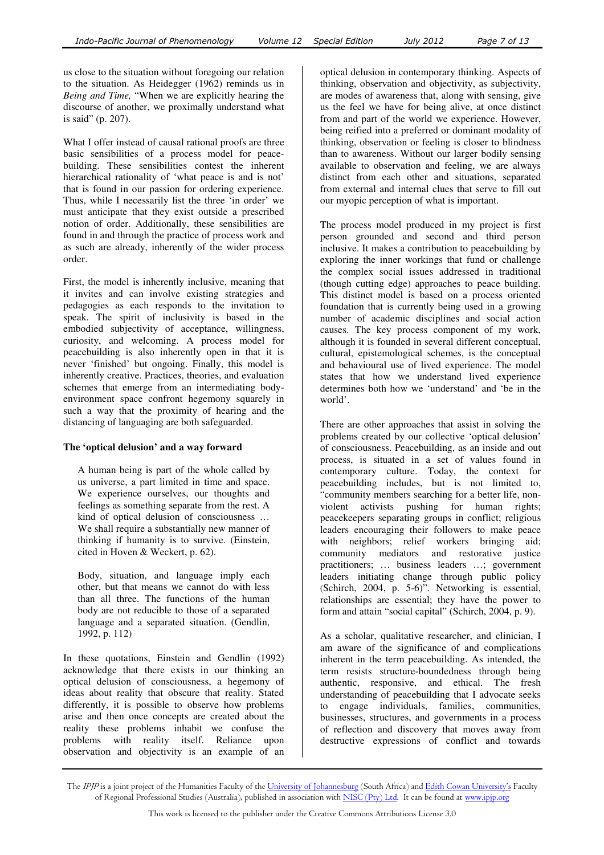us close to the situation without foregoing our relation to the situation. As Heidegger (1962) reminds us in *Being and Time,* "When we are explicitly hearing the discourse of another, we proximally understand what is said" (p. 207).

What I offer instead of causal rational proofs are three basic sensibilities of a process model for peacebuilding. These sensibilities contest the inherent hierarchical rationality of 'what peace is and is not' that is found in our passion for ordering experience. Thus, while I necessarily list the three 'in order' we must anticipate that they exist outside a prescribed notion of order. Additionally, these sensibilities are found in and through the practice of process work and as such are already, inherently of the wider process order.

First, the model is inherently inclusive, meaning that it invites and can involve existing strategies and pedagogies as each responds to the invitation to speak. The spirit of inclusivity is based in the embodied subjectivity of acceptance, willingness, curiosity, and welcoming. A process model for peacebuilding is also inherently open in that it is never 'finished' but ongoing. Finally, this model is inherently creative. Practices, theories, and evaluation schemes that emerge from an intermediating bodyenvironment space confront hegemony squarely in such a way that the proximity of hearing and the distancing of languaging are both safeguarded.

## **The 'optical delusion' and a way forward**

A human being is part of the whole called by us universe, a part limited in time and space. We experience ourselves, our thoughts and feelings as something separate from the rest. A kind of optical delusion of consciousness … We shall require a substantially new manner of thinking if humanity is to survive. (Einstein, cited in Hoven & Weckert, p. 62).

Body, situation, and language imply each other, but that means we cannot do with less than all three. The functions of the human body are not reducible to those of a separated language and a separated situation. (Gendlin, 1992, p. 112)

In these quotations, Einstein and Gendlin (1992) acknowledge that there exists in our thinking an optical delusion of consciousness, a hegemony of ideas about reality that obscure that reality. Stated differently, it is possible to observe how problems arise and then once concepts are created about the reality these problems inhabit we confuse the problems with reality itself. Reliance upon observation and objectivity is an example of an

optical delusion in contemporary thinking. Aspects of thinking, observation and objectivity, as subjectivity, are modes of awareness that, along with sensing, give us the feel we have for being alive, at once distinct from and part of the world we experience. However, being reified into a preferred or dominant modality of thinking, observation or feeling is closer to blindness than to awareness. Without our larger bodily sensing available to observation and feeling, we are always distinct from each other and situations, separated from external and internal clues that serve to fill out our myopic perception of what is important.

The process model produced in my project is first person grounded and second and third person inclusive. It makes a contribution to peacebuilding by exploring the inner workings that fund or challenge the complex social issues addressed in traditional (though cutting edge) approaches to peace building. This distinct model is based on a process oriented foundation that is currently being used in a growing number of academic disciplines and social action causes. The key process component of my work, although it is founded in several different conceptual, cultural, epistemological schemes, is the conceptual and behavioural use of lived experience. The model states that how we understand lived experience determines both how we 'understand' and 'be in the world'.

There are other approaches that assist in solving the problems created by our collective 'optical delusion' of consciousness. Peacebuilding, as an inside and out process, is situated in a set of values found in contemporary culture. Today, the context for peacebuilding includes, but is not limited to, "community members searching for a better life, nonviolent activists pushing for human rights; peacekeepers separating groups in conflict; religious leaders encouraging their followers to make peace with neighbors; relief workers bringing aid; community mediators and restorative justice practitioners; … business leaders …; government leaders initiating change through public policy (Schirch, 2004, p. 5-6)". Networking is essential, relationships are essential; they have the power to form and attain "social capital" (Schirch, 2004, p. 9).

As a scholar, qualitative researcher, and clinician, I am aware of the significance of and complications inherent in the term peacebuilding. As intended, the term resists structure-boundedness through being authentic, responsive, and ethical. The fresh understanding of peacebuilding that I advocate seeks to engage individuals, families, communities, businesses, structures, and governments in a process of reflection and discovery that moves away from destructive expressions of conflict and towards

The *IPJP* is a joint project of the Humanities Faculty of the <u>University of Johannesburg</u> (South Africa) and <u>Edith Cowan University's</u> Faculty of Regional Professional Studies (Australia), published in association with <u>NISC (Pty) Ltd</u>. It can be found at <u>www.ipjp.org</u>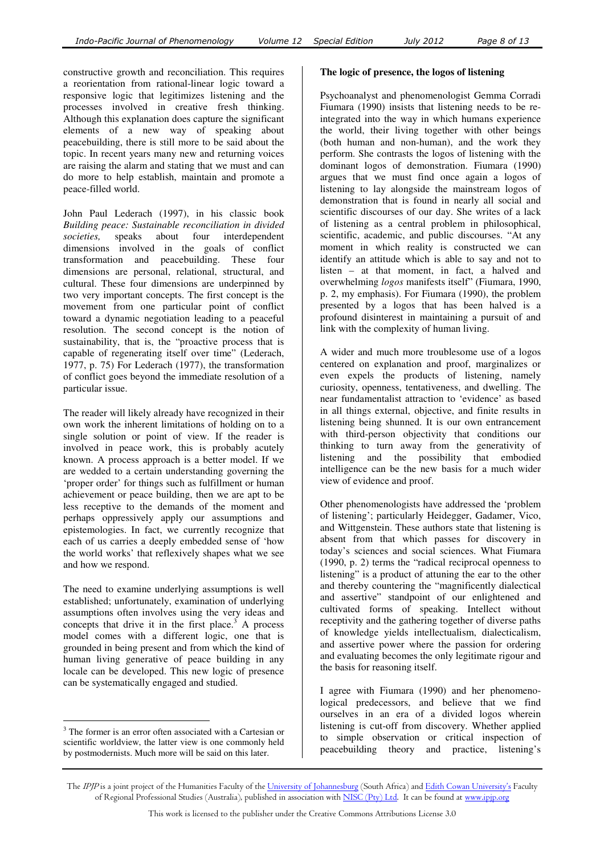constructive growth and reconciliation. This requires a reorientation from rational-linear logic toward a responsive logic that legitimizes listening and the processes involved in creative fresh thinking. Although this explanation does capture the significant elements of a new way of speaking about peacebuilding, there is still more to be said about the topic. In recent years many new and returning voices are raising the alarm and stating that we must and can do more to help establish, maintain and promote a peace-filled world.

John Paul Lederach (1997), in his classic book *Building peace: Sustainable reconciliation in divided societies,* speaks about four interdependent dimensions involved in the goals of conflict transformation and peacebuilding. These four dimensions are personal, relational, structural, and cultural. These four dimensions are underpinned by two very important concepts. The first concept is the movement from one particular point of conflict toward a dynamic negotiation leading to a peaceful resolution. The second concept is the notion of sustainability, that is, the "proactive process that is capable of regenerating itself over time" (Lederach, 1977, p. 75) For Lederach (1977), the transformation of conflict goes beyond the immediate resolution of a particular issue.

The reader will likely already have recognized in their own work the inherent limitations of holding on to a single solution or point of view. If the reader is involved in peace work, this is probably acutely known. A process approach is a better model. If we are wedded to a certain understanding governing the 'proper order' for things such as fulfillment or human achievement or peace building, then we are apt to be less receptive to the demands of the moment and perhaps oppressively apply our assumptions and epistemologies. In fact, we currently recognize that each of us carries a deeply embedded sense of 'how the world works' that reflexively shapes what we see and how we respond.

The need to examine underlying assumptions is well established; unfortunately, examination of underlying assumptions often involves using the very ideas and concepts that drive it in the first place.<sup>3</sup> A process model comes with a different logic, one that is grounded in being present and from which the kind of human living generative of peace building in any locale can be developed. This new logic of presence can be systematically engaged and studied.

 $\overline{a}$ 

#### **The logic of presence, the logos of listening**

Psychoanalyst and phenomenologist Gemma Corradi Fiumara (1990) insists that listening needs to be reintegrated into the way in which humans experience the world, their living together with other beings (both human and non-human), and the work they perform. She contrasts the logos of listening with the dominant logos of demonstration. Fiumara (1990) argues that we must find once again a logos of listening to lay alongside the mainstream logos of demonstration that is found in nearly all social and scientific discourses of our day. She writes of a lack of listening as a central problem in philosophical, scientific, academic, and public discourses. "At any moment in which reality is constructed we can identify an attitude which is able to say and not to listen – at that moment, in fact, a halved and overwhelming *logos* manifests itself" (Fiumara, 1990, p. 2, my emphasis). For Fiumara (1990), the problem presented by a logos that has been halved is a profound disinterest in maintaining a pursuit of and link with the complexity of human living.

A wider and much more troublesome use of a logos centered on explanation and proof, marginalizes or even expels the products of listening, namely curiosity, openness, tentativeness, and dwelling. The near fundamentalist attraction to 'evidence' as based in all things external, objective, and finite results in listening being shunned. It is our own entrancement with third-person objectivity that conditions our thinking to turn away from the generativity of listening and the possibility that embodied intelligence can be the new basis for a much wider view of evidence and proof.

Other phenomenologists have addressed the 'problem of listening'; particularly Heidegger, Gadamer, Vico, and Wittgenstein. These authors state that listening is absent from that which passes for discovery in today's sciences and social sciences. What Fiumara (1990, p. 2) terms the "radical reciprocal openness to listening" is a product of attuning the ear to the other and thereby countering the "magnificently dialectical and assertive" standpoint of our enlightened and cultivated forms of speaking. Intellect without receptivity and the gathering together of diverse paths of knowledge yields intellectualism, dialecticalism, and assertive power where the passion for ordering and evaluating becomes the only legitimate rigour and the basis for reasoning itself.

I agree with Fiumara (1990) and her phenomenological predecessors, and believe that we find ourselves in an era of a divided logos wherein listening is cut-off from discovery. Whether applied to simple observation or critical inspection of peacebuilding theory and practice, listening's

<sup>&</sup>lt;sup>3</sup> The former is an error often associated with a Cartesian or scientific worldview, the latter view is one commonly held by postmodernists. Much more will be said on this later.

The *IPJP* is a joint project of the Humanities Faculty of the <u>University of Johannesburg</u> (South Africa) and <u>Edith Cowan University's</u> Faculty of Regional Professional Studies (Australia), published in association with <u>NISC (Pty) Ltd</u>. It can be found at <u>www.ipjp.org</u>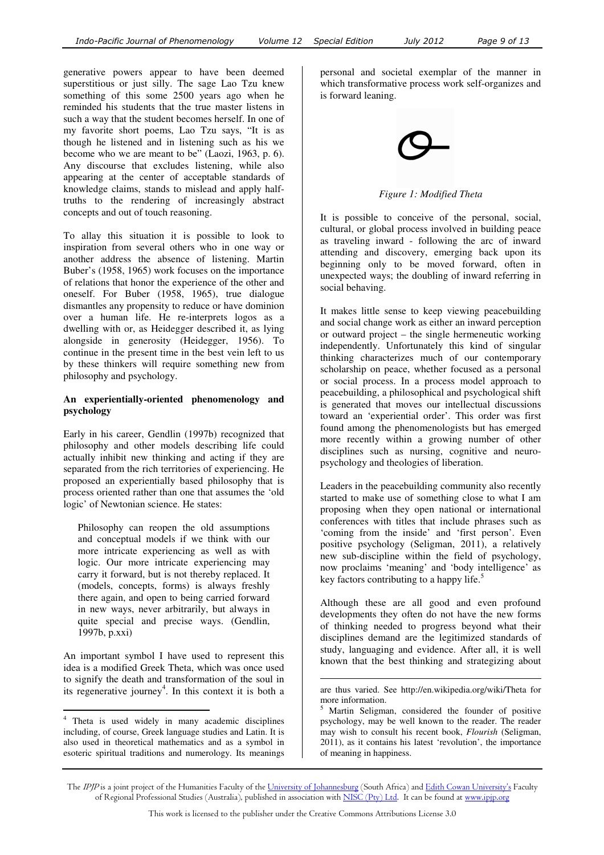generative powers appear to have been deemed superstitious or just silly. The sage Lao Tzu knew something of this some 2500 years ago when he reminded his students that the true master listens in such a way that the student becomes herself. In one of my favorite short poems, Lao Tzu says, "It is as though he listened and in listening such as his we become who we are meant to be" (Laozi, 1963, p. 6). Any discourse that excludes listening, while also appearing at the center of acceptable standards of knowledge claims, stands to mislead and apply halftruths to the rendering of increasingly abstract concepts and out of touch reasoning.

To allay this situation it is possible to look to inspiration from several others who in one way or another address the absence of listening. Martin Buber's (1958, 1965) work focuses on the importance of relations that honor the experience of the other and oneself. For Buber (1958, 1965), true dialogue dismantles any propensity to reduce or have dominion over a human life. He re-interprets logos as a dwelling with or, as Heidegger described it, as lying alongside in generosity (Heidegger, 1956). To continue in the present time in the best vein left to us by these thinkers will require something new from philosophy and psychology.

## **An experientially-oriented phenomenology and psychology**

Early in his career, Gendlin (1997b) recognized that philosophy and other models describing life could actually inhibit new thinking and acting if they are separated from the rich territories of experiencing. He proposed an experientially based philosophy that is process oriented rather than one that assumes the 'old logic' of Newtonian science. He states:

Philosophy can reopen the old assumptions and conceptual models if we think with our more intricate experiencing as well as with logic. Our more intricate experiencing may carry it forward, but is not thereby replaced. It (models, concepts, forms) is always freshly there again, and open to being carried forward in new ways, never arbitrarily, but always in quite special and precise ways. (Gendlin, 1997b, p.xxi)

An important symbol I have used to represent this idea is a modified Greek Theta, which was once used to signify the death and transformation of the soul in its regenerative journey<sup>4</sup>. In this context it is both a personal and societal exemplar of the manner in which transformative process work self-organizes and is forward leaning.



*Figure 1: Modified Theta* 

It is possible to conceive of the personal, social, cultural, or global process involved in building peace as traveling inward - following the arc of inward attending and discovery, emerging back upon its beginning only to be moved forward, often in unexpected ways; the doubling of inward referring in social behaving.

It makes little sense to keep viewing peacebuilding and social change work as either an inward perception or outward project – the single hermeneutic working independently. Unfortunately this kind of singular thinking characterizes much of our contemporary scholarship on peace, whether focused as a personal or social process. In a process model approach to peacebuilding, a philosophical and psychological shift is generated that moves our intellectual discussions toward an 'experiential order'. This order was first found among the phenomenologists but has emerged more recently within a growing number of other disciplines such as nursing, cognitive and neuropsychology and theologies of liberation.

Leaders in the peacebuilding community also recently started to make use of something close to what I am proposing when they open national or international conferences with titles that include phrases such as 'coming from the inside' and 'first person'. Even positive psychology (Seligman, 2011), a relatively new sub-discipline within the field of psychology, now proclaims 'meaning' and 'body intelligence' as key factors contributing to a happy life.<sup>5</sup>

Although these are all good and even profound developments they often do not have the new forms of thinking needed to progress beyond what their disciplines demand are the legitimized standards of study, languaging and evidence. After all, it is well known that the best thinking and strategizing about

 $\overline{a}$ 

 $\overline{a}$ 4 Theta is used widely in many academic disciplines including, of course, Greek language studies and Latin. It is also used in theoretical mathematics and as a symbol in esoteric spiritual traditions and numerology. Its meanings

are thus varied. See http://en.wikipedia.org/wiki/Theta for more information.

<sup>5</sup> Martin Seligman, considered the founder of positive psychology, may be well known to the reader. The reader may wish to consult his recent book, *Flourish* (Seligman, 2011), as it contains his latest 'revolution', the importance of meaning in happiness.

The IPJP is a joint project of the Humanities Faculty of the University of Johannesburg (South Africa) and Edith Cowan University's Faculty of Regional Professional Studies (Australia), published in association with NISC (Pty) Ltd. It can be found at www.ipjp.org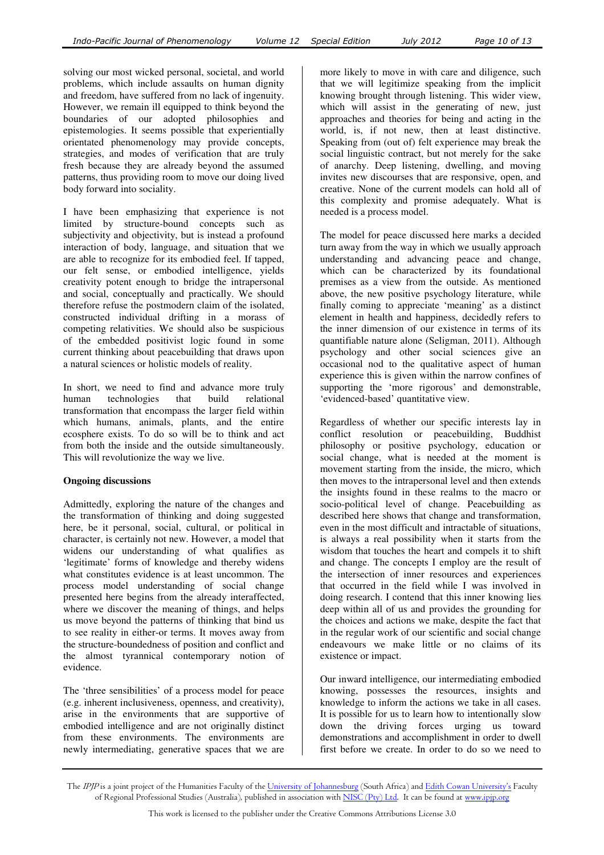solving our most wicked personal, societal, and world problems, which include assaults on human dignity and freedom, have suffered from no lack of ingenuity. However, we remain ill equipped to think beyond the boundaries of our adopted philosophies and epistemologies. It seems possible that experientially orientated phenomenology may provide concepts, strategies, and modes of verification that are truly fresh because they are already beyond the assumed patterns, thus providing room to move our doing lived body forward into sociality.

I have been emphasizing that experience is not limited by structure-bound concepts such as subjectivity and objectivity, but is instead a profound interaction of body, language, and situation that we are able to recognize for its embodied feel. If tapped, our felt sense, or embodied intelligence, yields creativity potent enough to bridge the intrapersonal and social, conceptually and practically. We should therefore refuse the postmodern claim of the isolated, constructed individual drifting in a morass of competing relativities. We should also be suspicious of the embedded positivist logic found in some current thinking about peacebuilding that draws upon a natural sciences or holistic models of reality.

In short, we need to find and advance more truly<br>human technologies that build relational human technologies that build transformation that encompass the larger field within which humans, animals, plants, and the entire ecosphere exists. To do so will be to think and act from both the inside and the outside simultaneously. This will revolutionize the way we live.

### **Ongoing discussions**

Admittedly, exploring the nature of the changes and the transformation of thinking and doing suggested here, be it personal, social, cultural, or political in character, is certainly not new. However, a model that widens our understanding of what qualifies as 'legitimate' forms of knowledge and thereby widens what constitutes evidence is at least uncommon. The process model understanding of social change presented here begins from the already interaffected, where we discover the meaning of things, and helps us move beyond the patterns of thinking that bind us to see reality in either-or terms. It moves away from the structure-boundedness of position and conflict and the almost tyrannical contemporary notion of evidence.

The 'three sensibilities' of a process model for peace (e.g. inherent inclusiveness, openness, and creativity), arise in the environments that are supportive of embodied intelligence and are not originally distinct from these environments. The environments are newly intermediating, generative spaces that we are

more likely to move in with care and diligence, such that we will legitimize speaking from the implicit knowing brought through listening. This wider view, which will assist in the generating of new, just approaches and theories for being and acting in the world, is, if not new, then at least distinctive. Speaking from (out of) felt experience may break the social linguistic contract, but not merely for the sake of anarchy. Deep listening, dwelling, and moving invites new discourses that are responsive, open, and creative. None of the current models can hold all of this complexity and promise adequately. What is needed is a process model.

The model for peace discussed here marks a decided turn away from the way in which we usually approach understanding and advancing peace and change, which can be characterized by its foundational premises as a view from the outside. As mentioned above, the new positive psychology literature, while finally coming to appreciate 'meaning' as a distinct element in health and happiness, decidedly refers to the inner dimension of our existence in terms of its quantifiable nature alone (Seligman, 2011). Although psychology and other social sciences give an occasional nod to the qualitative aspect of human experience this is given within the narrow confines of supporting the 'more rigorous' and demonstrable, 'evidenced-based' quantitative view.

Regardless of whether our specific interests lay in conflict resolution or peacebuilding, Buddhist philosophy or positive psychology, education or social change, what is needed at the moment is movement starting from the inside, the micro, which then moves to the intrapersonal level and then extends the insights found in these realms to the macro or socio-political level of change. Peacebuilding as described here shows that change and transformation, even in the most difficult and intractable of situations, is always a real possibility when it starts from the wisdom that touches the heart and compels it to shift and change. The concepts I employ are the result of the intersection of inner resources and experiences that occurred in the field while I was involved in doing research. I contend that this inner knowing lies deep within all of us and provides the grounding for the choices and actions we make, despite the fact that in the regular work of our scientific and social change endeavours we make little or no claims of its existence or impact.

Our inward intelligence, our intermediating embodied knowing, possesses the resources, insights and knowledge to inform the actions we take in all cases. It is possible for us to learn how to intentionally slow down the driving forces urging us toward demonstrations and accomplishment in order to dwell first before we create. In order to do so we need to

The *IPJP* is a joint project of the Humanities Faculty of the <u>University of Johannesburg</u> (South Africa) and <u>Edith Cowan University's</u> Faculty of Regional Professional Studies (Australia), published in association with <u>NISC (Pty) Ltd</u>. It can be found at <u>www.ipjp.org</u>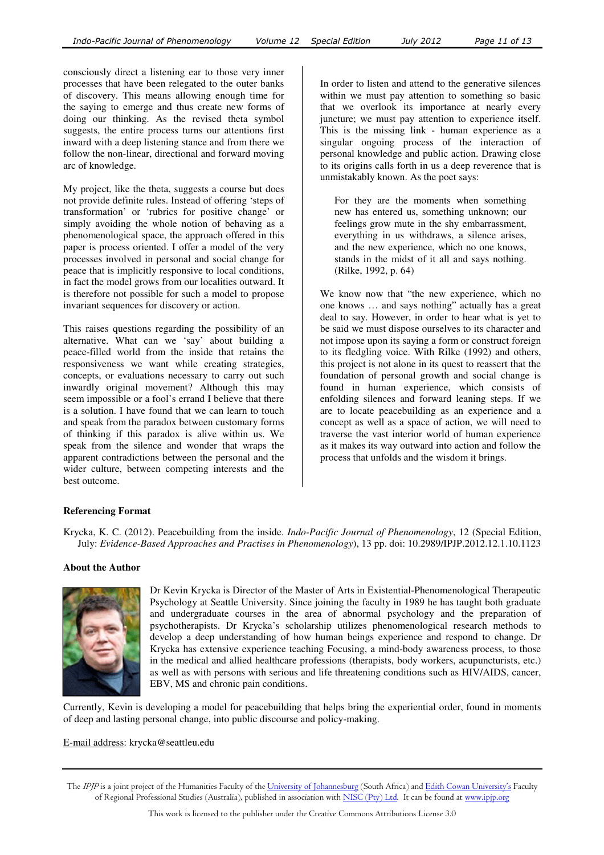consciously direct a listening ear to those very inner processes that have been relegated to the outer banks of discovery. This means allowing enough time for the saying to emerge and thus create new forms of doing our thinking. As the revised theta symbol suggests, the entire process turns our attentions first inward with a deep listening stance and from there we follow the non-linear, directional and forward moving arc of knowledge.

My project, like the theta, suggests a course but does not provide definite rules. Instead of offering 'steps of transformation' or 'rubrics for positive change' or simply avoiding the whole notion of behaving as a phenomenological space, the approach offered in this paper is process oriented. I offer a model of the very processes involved in personal and social change for peace that is implicitly responsive to local conditions, in fact the model grows from our localities outward. It is therefore not possible for such a model to propose invariant sequences for discovery or action.

This raises questions regarding the possibility of an alternative. What can we 'say' about building a peace-filled world from the inside that retains the responsiveness we want while creating strategies, concepts, or evaluations necessary to carry out such inwardly original movement? Although this may seem impossible or a fool's errand I believe that there is a solution. I have found that we can learn to touch and speak from the paradox between customary forms of thinking if this paradox is alive within us. We speak from the silence and wonder that wraps the apparent contradictions between the personal and the wider culture, between competing interests and the best outcome.

In order to listen and attend to the generative silences within we must pay attention to something so basic that we overlook its importance at nearly every juncture; we must pay attention to experience itself. This is the missing link - human experience as a singular ongoing process of the interaction of personal knowledge and public action. Drawing close to its origins calls forth in us a deep reverence that is unmistakably known. As the poet says:

For they are the moments when something new has entered us, something unknown; our feelings grow mute in the shy embarrassment, everything in us withdraws, a silence arises, and the new experience, which no one knows, stands in the midst of it all and says nothing. (Rilke, 1992, p. 64)

We know now that "the new experience, which no one knows … and says nothing" actually has a great deal to say. However, in order to hear what is yet to be said we must dispose ourselves to its character and not impose upon its saying a form or construct foreign to its fledgling voice. With Rilke (1992) and others, this project is not alone in its quest to reassert that the foundation of personal growth and social change is found in human experience, which consists of enfolding silences and forward leaning steps. If we are to locate peacebuilding as an experience and a concept as well as a space of action, we will need to traverse the vast interior world of human experience as it makes its way outward into action and follow the process that unfolds and the wisdom it brings.

### **Referencing Format**

Krycka, K. C. (2012). Peacebuilding from the inside. *Indo-Pacific Journal of Phenomenology*, 12 (Special Edition, July: *Evidence-Based Approaches and Practises in Phenomenology*), 13 pp. doi: 10.2989/IPJP.2012.12.1.10.1123

### **About the Author**



Dr Kevin Krycka is Director of the Master of Arts in Existential-Phenomenological Therapeutic Psychology at Seattle University. Since joining the faculty in 1989 he has taught both graduate and undergraduate courses in the area of abnormal psychology and the preparation of psychotherapists. Dr Krycka's scholarship utilizes phenomenological research methods to develop a deep understanding of how human beings experience and respond to change. Dr Krycka has extensive experience teaching Focusing, a mind-body awareness process, to those in the medical and allied healthcare professions (therapists, body workers, acupuncturists, etc.) as well as with persons with serious and life threatening conditions such as HIV/AIDS, cancer, EBV, MS and chronic pain conditions.

Currently, Kevin is developing a model for peacebuilding that helps bring the experiential order, found in moments of deep and lasting personal change, into public discourse and policy-making.

### E-mail address: krycka@seattleu.edu

The IPJP is a joint project of the Humanities Faculty of the University of Johannesburg (South Africa) and Edith Cowan University's Faculty of Regional Professional Studies (Australia), published in association with NISC (Pty) Ltd. It can be found at www.ipjp.org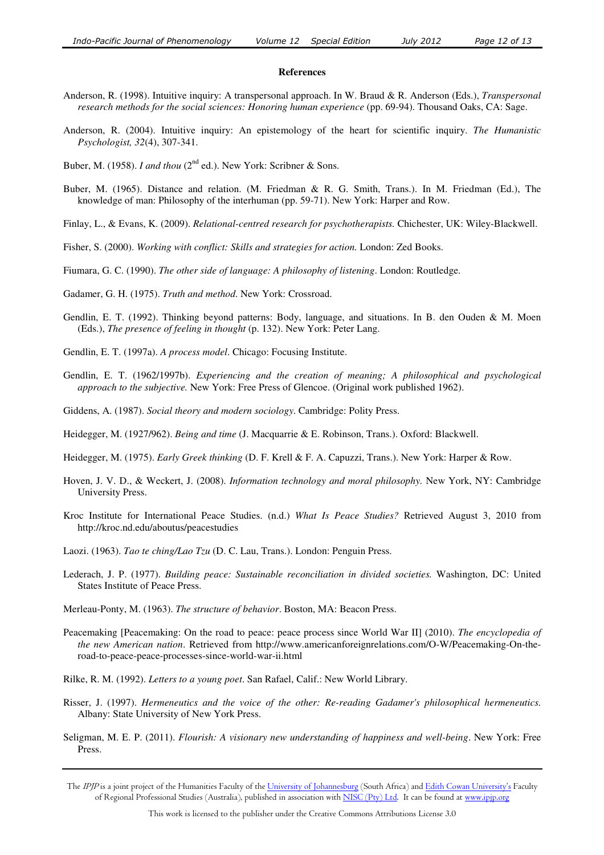#### **References**

- Anderson, R. (1998). Intuitive inquiry: A transpersonal approach. In W. Braud & R. Anderson (Eds.), *Transpersonal research methods for the social sciences: Honoring human experience* (pp. 69-94). Thousand Oaks, CA: Sage.
- Anderson, R. (2004). Intuitive inquiry: An epistemology of the heart for scientific inquiry. *The Humanistic Psychologist, 32*(4), 307-341.
- Buber, M. (1958). *I and thou* ( $2<sup>nd</sup>$  ed.). New York: Scribner & Sons.
- Buber, M. (1965). Distance and relation. (M. Friedman & R. G. Smith, Trans.). In M. Friedman (Ed.), The knowledge of man: Philosophy of the interhuman (pp. 59-71). New York: Harper and Row.
- Finlay, L., & Evans, K. (2009). *Relational-centred research for psychotherapists.* Chichester, UK: Wiley-Blackwell.
- Fisher, S. (2000). *Working with conflict: Skills and strategies for action.* London: Zed Books.
- Fiumara, G. C. (1990). *The other side of language: A philosophy of listening*. London: Routledge.
- Gadamer, G. H. (1975). *Truth and method*. New York: Crossroad.
- Gendlin, E. T. (1992). Thinking beyond patterns: Body, language, and situations. In B. den Ouden & M. Moen (Eds.), *The presence of feeling in thought* (p. 132). New York: Peter Lang.
- Gendlin, E. T. (1997a). *A process model*. Chicago: Focusing Institute.
- Gendlin, E. T. (1962/1997b). *Experiencing and the creation of meaning; A philosophical and psychological approach to the subjective.* New York: Free Press of Glencoe. (Original work published 1962).
- Giddens, A. (1987). *Social theory and modern sociology*. Cambridge: Polity Press.
- Heidegger, M. (1927/962). *Being and time* (J. Macquarrie & E. Robinson, Trans.). Oxford: Blackwell.
- Heidegger, M. (1975). *Early Greek thinking* (D. F. Krell & F. A. Capuzzi, Trans.). New York: Harper & Row.
- Hoven, J. V. D., & Weckert, J. (2008). *Information technology and moral philosophy.* New York, NY: Cambridge University Press.
- Kroc Institute for International Peace Studies. (n.d.) *What Is Peace Studies?* Retrieved August 3, 2010 from http://kroc.nd.edu/aboutus/peacestudies
- Laozi. (1963). *Tao te ching/Lao Tzu* (D. C. Lau, Trans.). London: Penguin Press.
- Lederach, J. P. (1977). *Building peace: Sustainable reconciliation in divided societies.* Washington, DC: United States Institute of Peace Press.
- Merleau-Ponty, M. (1963). *The structure of behavior*. Boston, MA: Beacon Press.
- Peacemaking [Peacemaking: On the road to peace: peace process since World War II] (2010). *The encyclopedia of the new American nation*. Retrieved from http://www.americanforeignrelations.com/O-W/Peacemaking-On-theroad-to-peace-peace-processes-since-world-war-ii.html
- Rilke, R. M. (1992). *Letters to a young poet*. San Rafael, Calif.: New World Library.
- Risser, J. (1997). *Hermeneutics and the voice of the other: Re-reading Gadamer's philosophical hermeneutics.* Albany: State University of New York Press.
- Seligman, M. E. P. (2011). *Flourish: A visionary new understanding of happiness and well-being*. New York: Free Press.
- The IPIP is a joint project of the Humanities Faculty of the University of Johannesburg (South Africa) and Edith Cowan University's Faculty of Regional Professional Studies (Australia), published in association with NISC (Pty) Ltd. It can be found at www.ipjp.org